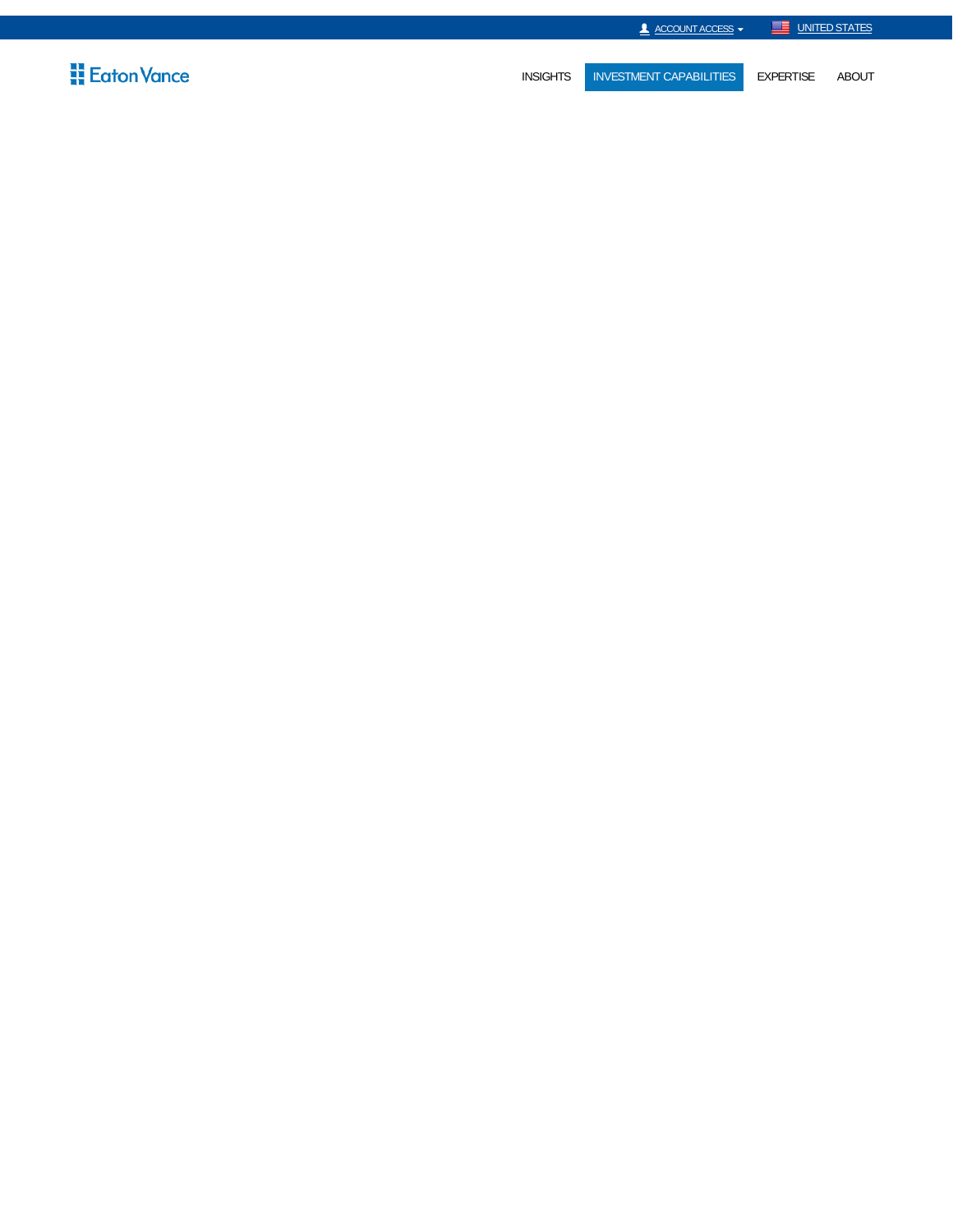

# **Eaton Vance**

INSIGHTS INVESTMENT CAPABILITIES EXPERTISE ABOUT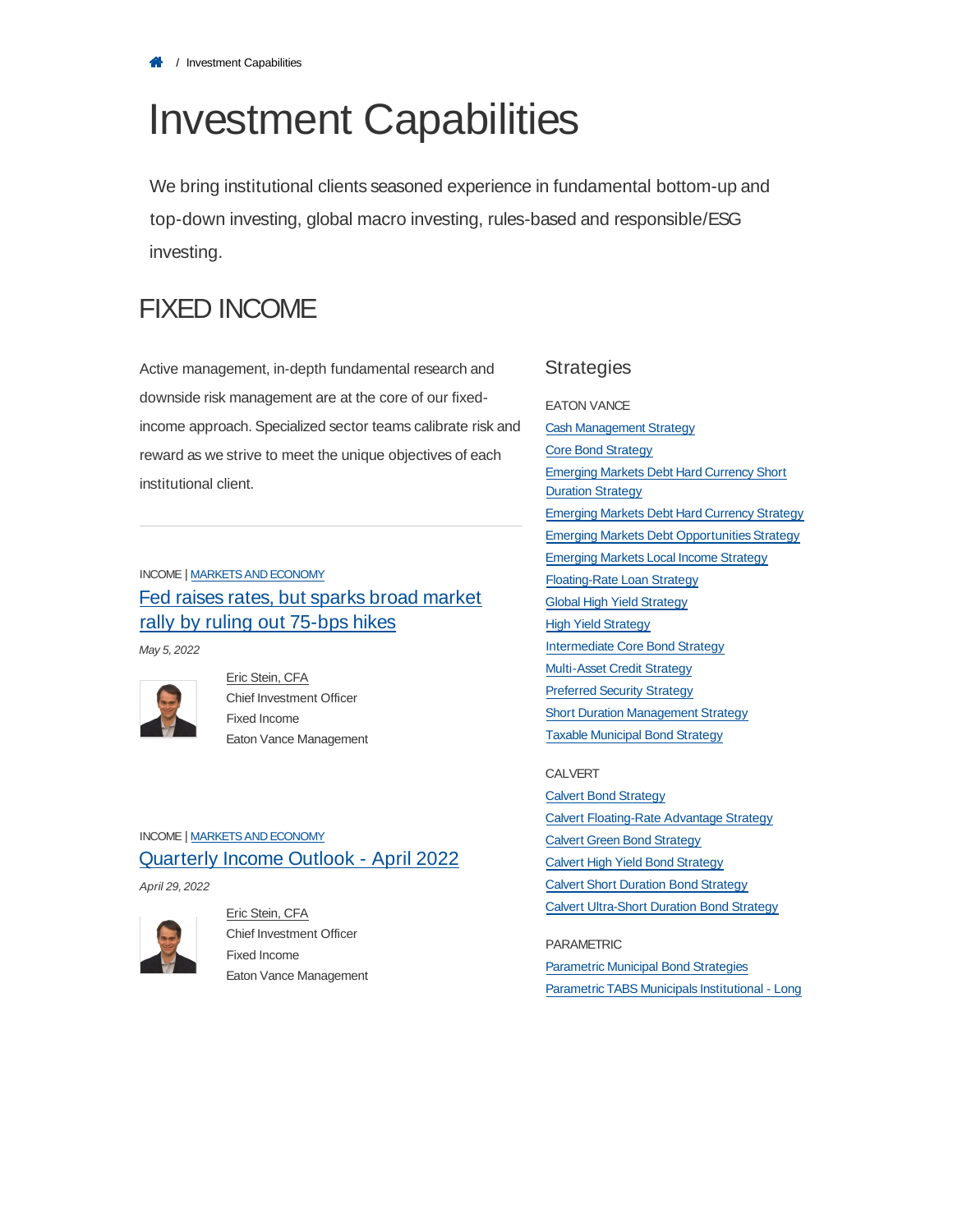# Investment Capabilities

We bring institutional clients seasoned experience in fundamental bottom-up and top-down investing, global macro investing, rules-based and responsible/ESG investing.

# FIXED INCOME

Active management, in-depth fundamental research and downside risk management are at the core of our fixedincome approach. Specialized sector teams calibrate risk and reward as we strive to meet the unique objectives of each institutional client.

## INCOME | MARKETS AND ECONOMY Fed raises rates, but sparks broad market rally by ruling out 75-bps hikes

May 5, 2022



Eric Stein, CFA Chief Investment Officer Fixed Income Eaton Vance Management

### INCOME | MARKETS AND ECONOMY Quarterly Income Outlook - April 2022

April 29, 2022



Eric Stein, CFA Chief Investment Officer Fixed Income Eaton Vance Management

#### **Strategies**

EATON VANCE Cash Management Strategy Core Bond Strategy Emerging Markets Debt Hard Currency Short **Duration Strategy** Emerging Markets Debt Hard Currency Strategy Emerging Markets Debt Opportunities Strategy Emerging Markets Local Income Strategy Floating-Rate Loan Strategy Global High Yield Strategy High Yield Strategy Intermediate Core Bond Strategy Multi-Asset Credit Strategy Preferred Security Strategy Short Duration Management Strategy Taxable Municipal Bond Strategy

#### CALVERT

Calvert Bond Strategy Calvert Floating-Rate Advantage Strategy Calvert Green Bond Strategy Calvert High Yield Bond Strategy Calvert Short Duration Bond Strategy Calvert Ultra-Short Duration Bond Strategy

#### PARAMETRIC

**Parametric Municipal Bond Strategies** Parametric TABS Municipals Institutional - Long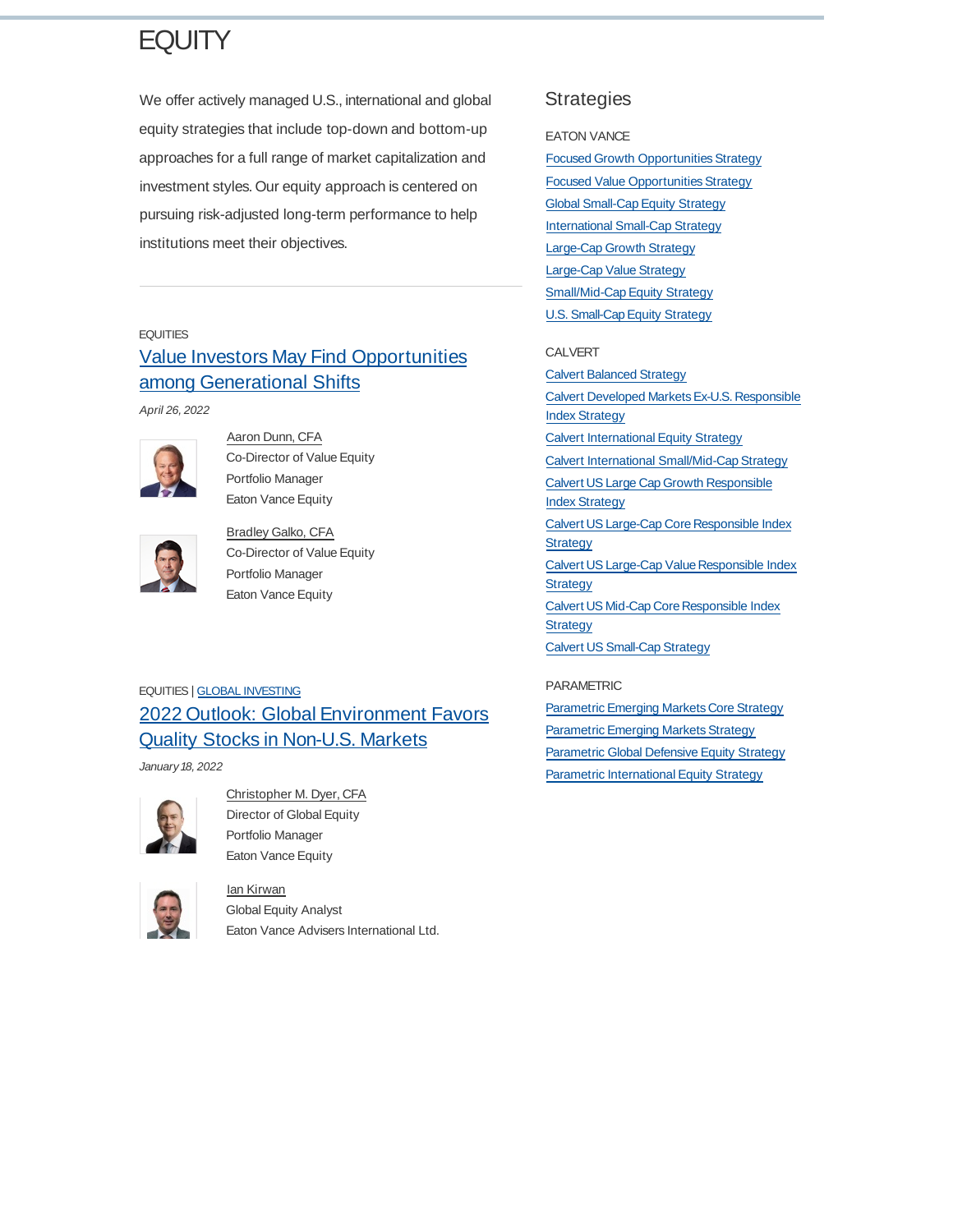# **EQUITY**

We offer actively managed U.S., international and global equity strategies that include top-down and bottom-up approaches for a full range of market capitalization and investment styles. Our equity approach is centered on pursuing risk-adjusted long-term performance to help institutions meet their objectives.

#### **EQUITIES**

# Value Investors May Find Opportunities among Generational Shifts

April 26, 2022



Aaron Dunn, CFA Co-Director of Value Equity Portfolio Manager Eaton Vance Equity



Bradley Galko, CFA Co-Director of Value Equity Portfolio Manager Eaton Vance Equity

### EQUITIES | GLOBAL INVESTING 2022 Outlook: Global Environment Favors Quality Stocks in Non-U.S. Markets

January 18, 2022



#### Christopher M. Dyer, CFA Director of Global Equity Portfolio Manager Eaton Vance Equity

Ian Kirwan



### Global Equity Analyst Eaton Vance Advisers International Ltd.

### **Strategies**

#### EATON VANCE

Focused Growth Opportunities Strategy Focused Value Opportunities Strategy **Global Small-Cap Equity Strategy** International Small-Cap Strategy Large-Cap Growth Strategy Large-Cap Value Strategy Small/Mid-Cap Equity Strategy U.S. Small-Cap Equity Strategy

#### CALVERT

Calvert Balanced Strategy Calvert Developed MarketsEx-U.S. Responsible Index Strategy Calvert International Equity Strategy Calvert International Small/Mid-Cap Strategy Calvert US Large Cap Growth Responsible Index Strategy Calvert US Large-Cap Core Responsible Index **Strategy** Calvert US Large-Cap Value Responsible Index **Strategy** Calvert US Mid-Cap Core Responsible Index **Strategy** Calvert US Small-Cap Strategy

#### PARAMETRIC

Parametric Emerging Markets Core Strategy Parametric Emerging Markets Strategy Parametric Global Defensive Equity Strategy Parametric International Equity Strategy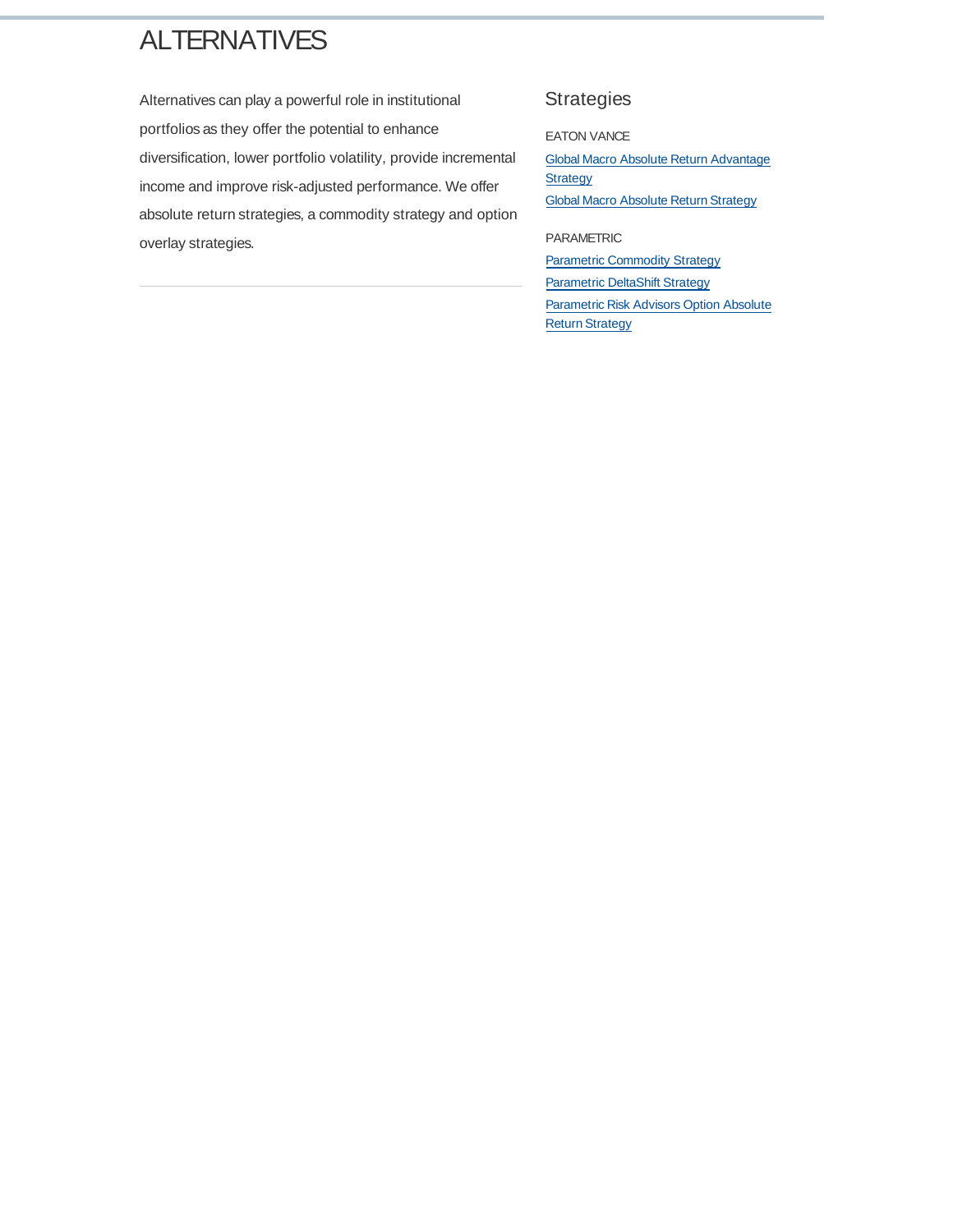# **ALTERNATIVES**

Alternatives can play a powerful role in institutional portfolios as they offer the potential to enhance diversification, lower portfolio volatility, provide incremental income and improve risk-adjusted performance. We offer absolute return strategies, a commodity strategy and option overlay strategies.

### Strategies

EATON VANCE

Global Macro Absolute Return Advantage **Strategy** Global Macro Absolute Return Strategy

PARAMETRIC

**Parametric Commodity Strategy** Parametric DeltaShift Strategy Parametric Risk Advisors Option Absolute Return Strategy